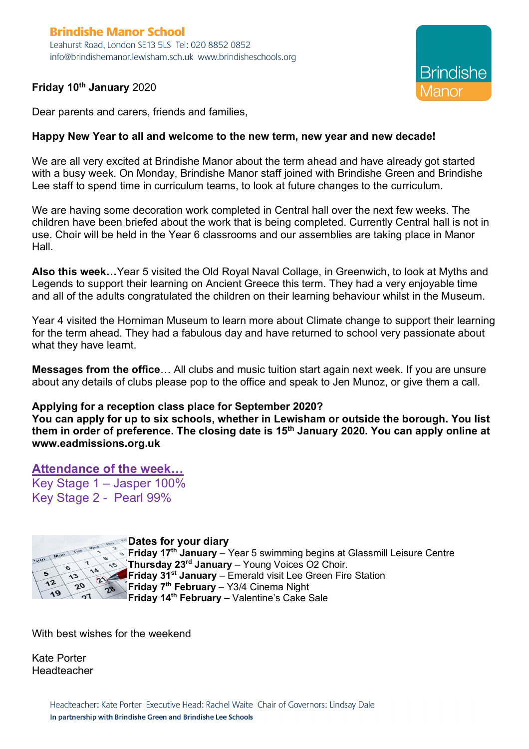## **Brindishe Manor School** Leahurst Road, London SE13 5LS Tel: 020 8852 0852 info@brindishemanor.lewisham.sch.uk www.brindisheschools.org

## **Friday 10th January** 2020



Dear parents and carers, friends and families,

## **Happy New Year to all and welcome to the new term, new year and new decade!**

We are all very excited at Brindishe Manor about the term ahead and have already got started with a busy week. On Monday, Brindishe Manor staff joined with Brindishe Green and Brindishe Lee staff to spend time in curriculum teams, to look at future changes to the curriculum.

We are having some decoration work completed in Central hall over the next few weeks. The children have been briefed about the work that is being completed. Currently Central hall is not in use. Choir will be held in the Year 6 classrooms and our assemblies are taking place in Manor Hall.

**Also this week…**Year 5 visited the Old Royal Naval Collage, in Greenwich, to look at Myths and Legends to support their learning on Ancient Greece this term. They had a very enjoyable time and all of the adults congratulated the children on their learning behaviour whilst in the Museum.

Year 4 visited the Horniman Museum to learn more about Climate change to support their learning for the term ahead. They had a fabulous day and have returned to school very passionate about what they have learnt.

**Messages from the office**… All clubs and music tuition start again next week. If you are unsure about any details of clubs please pop to the office and speak to Jen Munoz, or give them a call.

## **Applying for a reception class place for September 2020?**

**You can apply for up to six schools, whether in Lewisham or outside the borough. You list them in order of preference. The closing date is 15th January 2020. You can apply online at www.eadmissions.org.uk**

**Attendance of the week…** Key Stage 1 – Jasper 100% Key Stage 2 - Pearl 99%



**Dates for your diary Friday 17th January** – Year 5 swimming begins at Glassmill Leisure Centre **Thursday 23<sup>rd</sup> January** – Young Voices O2 Choir. **Friday 31st January** – Emerald visit Lee Green Fire Station **Friday 7th February** – Y3/4 Cinema Night **Friday 14th February –** Valentine's Cake Sale

With best wishes for the weekend

Kate Porter Headteacher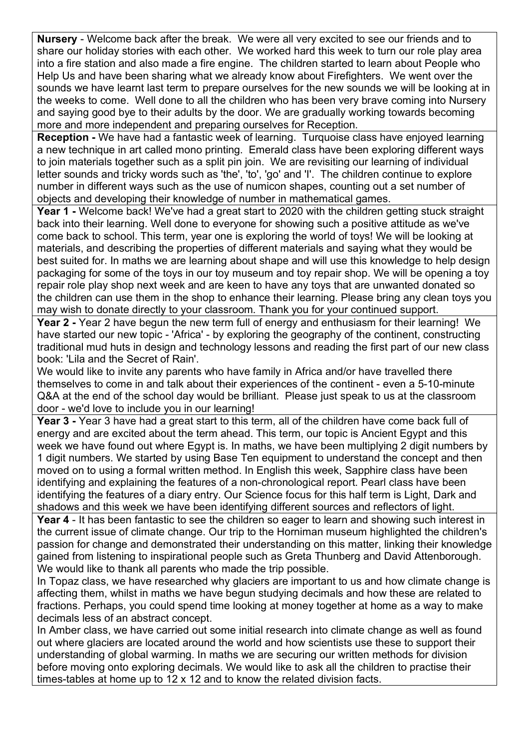**Nursery** - Welcome back after the break. We were all very excited to see our friends and to share our holiday stories with each other. We worked hard this week to turn our role play area into a fire station and also made a fire engine. The children started to learn about People who Help Us and have been sharing what we already know about Firefighters. We went over the sounds we have learnt last term to prepare ourselves for the new sounds we will be looking at in the weeks to come. Well done to all the children who has been very brave coming into Nursery and saying good bye to their adults by the door. We are gradually working towards becoming more and more independent and preparing ourselves for Reception.

**Reception -** We have had a fantastic week of learning. Turquoise class have enjoyed learning a new technique in art called mono printing. Emerald class have been exploring different ways to join materials together such as a split pin join. We are revisiting our learning of individual letter sounds and tricky words such as 'the', 'to', 'go' and 'I'. The children continue to explore number in different ways such as the use of numicon shapes, counting out a set number of objects and developing their knowledge of number in mathematical games.

**Year 1 -** Welcome back! We've had a great start to 2020 with the children getting stuck straight back into their learning. Well done to everyone for showing such a positive attitude as we've come back to school. This term, year one is exploring the world of toys! We will be looking at materials, and describing the properties of different materials and saying what they would be best suited for. In maths we are learning about shape and will use this knowledge to help design packaging for some of the toys in our toy museum and toy repair shop. We will be opening a toy repair role play shop next week and are keen to have any toys that are unwanted donated so the children can use them in the shop to enhance their learning. Please bring any clean toys you may wish to donate directly to your classroom. Thank you for your continued support.

**Year 2 -** Year 2 have begun the new term full of energy and enthusiasm for their learning! We have started our new topic - 'Africa' - by exploring the geography of the continent, constructing traditional mud huts in design and technology lessons and reading the first part of our new class book: 'Lila and the Secret of Rain'.

We would like to invite any parents who have family in Africa and/or have travelled there themselves to come in and talk about their experiences of the continent - even a 5-10-minute Q&A at the end of the school day would be brilliant. Please just speak to us at the classroom door - we'd love to include you in our learning!

**Year 3 -** Year 3 have had a great start to this term, all of the children have come back full of energy and are excited about the term ahead. This term, our topic is Ancient Egypt and this week we have found out where Egypt is. In maths, we have been multiplying 2 digit numbers by 1 digit numbers. We started by using Base Ten equipment to understand the concept and then moved on to using a formal written method. In English this week, Sapphire class have been identifying and explaining the features of a non-chronological report. Pearl class have been identifying the features of a diary entry. Our Science focus for this half term is Light, Dark and shadows and this week we have been identifying different sources and reflectors of light.

**Year 4** - It has been fantastic to see the children so eager to learn and showing such interest in the current issue of climate change. Our trip to the Horniman museum highlighted the children's passion for change and demonstrated their understanding on this matter, linking their knowledge gained from listening to inspirational people such as Greta Thunberg and David Attenborough. We would like to thank all parents who made the trip possible.

In Topaz class, we have researched why glaciers are important to us and how climate change is affecting them, whilst in maths we have begun studying decimals and how these are related to fractions. Perhaps, you could spend time looking at money together at home as a way to make decimals less of an abstract concept.

In Amber class, we have carried out some initial research into climate change as well as found out where glaciers are located around the world and how scientists use these to support their understanding of global warming. In maths we are securing our written methods for division before moving onto exploring decimals. We would like to ask all the children to practise their times-tables at home up to 12 x 12 and to know the related division facts.